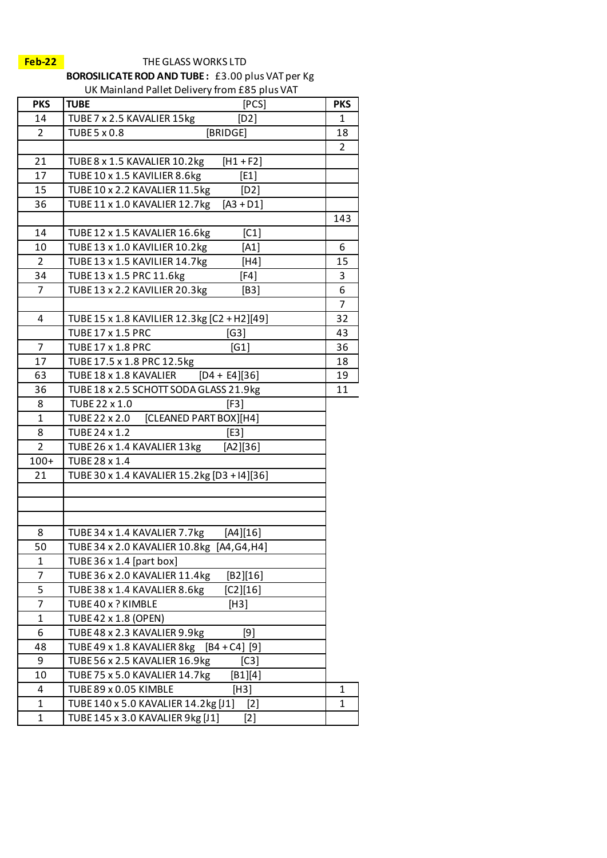## **Feb-22** THE GLASS WORKS LTD

**BOROSILICATE ROD AND TUBE :** £3.00 plus VAT per Kg

UK Mainland Pallet Delivery from £85 plus VAT

| <b>PKS</b>     | [PCS]<br><b>TUBE</b>                          | <b>PKS</b>     |
|----------------|-----------------------------------------------|----------------|
| 14             | TUBE 7 x 2.5 KAVALIER 15kg<br>[D2]            | 1              |
| $\overline{2}$ | <b>TUBE 5 x 0.8</b><br>[BRIDGE]               | 18             |
|                |                                               | $\overline{2}$ |
| 21             | TUBE 8 x 1.5 KAVALIER 10.2kg<br>$[H1 + F2]$   |                |
| 17             | TUBE 10 x 1.5 KAVILIER 8.6kg<br>[E1]          |                |
| 15             | TUBE 10 x 2.2 KAVALIER 11.5kg<br>[D2]         |                |
| 36             | TUBE 11 x 1.0 KAVALIER 12.7kg<br>$[A3 + D1]$  |                |
|                |                                               | 143            |
| 14             | TUBE 12 x 1.5 KAVALIER 16.6kg<br>[C1]         |                |
| 10             | TUBE 13 x 1.0 KAVILIER 10.2kg<br>[A1]         | 6              |
| 2              | TUBE 13 x 1.5 KAVILIER 14.7kg<br>[H4]         | 15             |
| 34             | TUBE 13 x 1.5 PRC 11.6kg<br>[F4]              | 3              |
| 7              | TUBE 13 x 2.2 KAVILIER 20.3kg<br>[B3]         | 6              |
|                |                                               | 7              |
| 4              | TUBE 15 x 1.8 KAVILIER 12.3kg [C2 + H2][49]   | 32             |
|                | <b>TUBE 17 x 1.5 PRC</b><br>[G3]              | 43             |
| 7              | [G1]<br><b>TUBE 17 x 1.8 PRC</b>              | 36             |
| 17             | TUBE 17.5 x 1.8 PRC 12.5kg                    | 18             |
| 63             | TUBE 18 x 1.8 KAVALIER<br>$[D4 + E4][36]$     | 19             |
| 36             | TUBE 18 x 2.5 SCHOTT SODA GLASS 21.9kg        | 11             |
| 8              | TUBE 22 x 1.0<br>[F3]                         |                |
| $\mathbf{1}$   | [CLEANED PART BOX][H4]<br>TUBE 22 x 2.0       |                |
| 8              | TUBE 24 x 1.2<br>[E3]                         |                |
| $\overline{2}$ | TUBE 26 x 1.4 KAVALIER 13kg<br>[A2][36]       |                |
| $100+$         | TUBE 28 x 1.4                                 |                |
| 21             | TUBE 30 x 1.4 KAVALIER 15.2kg [D3 + I4][36]   |                |
|                |                                               |                |
|                |                                               |                |
|                |                                               |                |
| 8              | TUBE 34 x 1.4 KAVALIER 7.7kg<br>[A4][16]      |                |
| 50             | TUBE 34 x 2.0 KAVALIER 10.8kg [A4,G4,H4]      |                |
| 1              | TUBE 36 x 1.4 [part box]                      |                |
| 7              | TUBE 36 x 2.0 KAVALIER 11.4kg<br>[B2][16]     |                |
| 5              | TUBE 38 x 1.4 KAVALIER 8.6kg<br>$[C2][16]$    |                |
| 7              | TUBE 40 x ? KIMBLE<br>[H3]                    |                |
| $\mathbf{1}$   | TUBE 42 x 1.8 (OPEN)                          |                |
| 6              | TUBE 48 x 2.3 KAVALIER 9.9kg<br>[9]           |                |
| 48             | TUBE 49 x 1.8 KAVALIER 8kg<br>$[B4 + C4] [9]$ |                |
| 9              | TUBE 56 x 2.5 KAVALIER 16.9kg<br>[C3]         |                |
| 10             | $[B1][4]$<br>TUBE 75 x 5.0 KAVALIER 14.7kg    |                |
| 4              | TUBE 89 x 0.05 KIMBLE<br>[H3]                 | 1              |
| 1              | TUBE 140 x 5.0 KAVALIER 14.2kg [J1]<br>$[2]$  | $\mathbf{1}$   |
| 1              | TUBE 145 x 3.0 KAVALIER 9kg [J1]              |                |